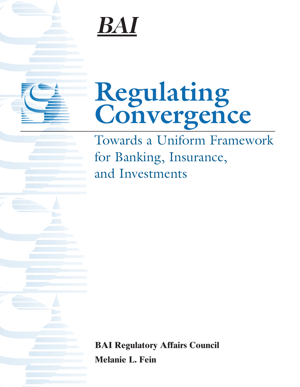# BAI

# **Regulating Convergence**

Towards a Uniform Framework for Banking, Insurance, and Investments

**BAI Regulatory Affairs Council Melanie L. Fein**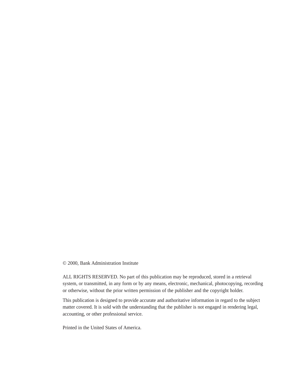© 2000, Bank Administration Institute

ALL RIGHTS RESERVED. No part of this publication may be reproduced, stored in a retrieval system, or transmitted, in any form or by any means, electronic, mechanical, photocopying, recording or otherwise, without the prior written permission of the publisher and the copyright holder.

This publication is designed to provide accurate and authoritative information in regard to the subject matter covered. It is sold with the understanding that the publisher is not engaged in rendering legal, accounting, or other professional service.

Printed in the United States of America.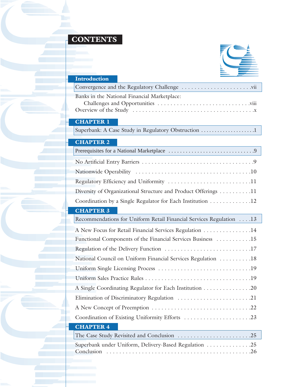### **CONTENTS**

b.

Г



| <b>Introduction</b>                                                 |  |  |  |  |
|---------------------------------------------------------------------|--|--|--|--|
|                                                                     |  |  |  |  |
| Banks in the National Financial Marketplace:                        |  |  |  |  |
|                                                                     |  |  |  |  |
|                                                                     |  |  |  |  |
| <b>CHAPTER 1</b>                                                    |  |  |  |  |
| Superbank: A Case Study in Regulatory Obstruction 1                 |  |  |  |  |
| <b>CHAPTER 2</b>                                                    |  |  |  |  |
|                                                                     |  |  |  |  |
|                                                                     |  |  |  |  |
|                                                                     |  |  |  |  |
| Regulatory Efficiency and Uniformity 11                             |  |  |  |  |
| Diversity of Organizational Structure and Product Offerings 11      |  |  |  |  |
| Coordination by a Single Regulator for Each Institution 12          |  |  |  |  |
| <b>CHAPTER 3</b>                                                    |  |  |  |  |
| Recommendations for Uniform Retail Financial Services Regulation 13 |  |  |  |  |
| A New Focus for Retail Financial Services Regulation 14             |  |  |  |  |
| Functional Components of the Financial Services Business 15         |  |  |  |  |
|                                                                     |  |  |  |  |
| National Council on Uniform Financial Services Regulation 18        |  |  |  |  |
|                                                                     |  |  |  |  |
|                                                                     |  |  |  |  |
| A Single Coordinating Regulator for Each Institution 20             |  |  |  |  |
| Elimination of Discriminatory Regulation 21                         |  |  |  |  |
|                                                                     |  |  |  |  |
| Coordination of Existing Uniformity Efforts 23                      |  |  |  |  |
| <b>CHAPTER 4</b>                                                    |  |  |  |  |
|                                                                     |  |  |  |  |
| Superbank under Uniform, Delivery-Based Regulation 25<br>Conclusion |  |  |  |  |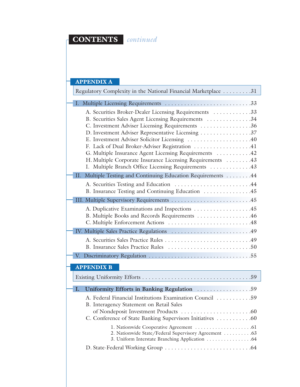### **CONTENTS** *continued*

#### **APPENDIX A**

| Regulatory Complexity in the National Financial Marketplace 31                                                                                                                                                                                                                                                                                                                                                                                                                                       |  |  |  |
|------------------------------------------------------------------------------------------------------------------------------------------------------------------------------------------------------------------------------------------------------------------------------------------------------------------------------------------------------------------------------------------------------------------------------------------------------------------------------------------------------|--|--|--|
|                                                                                                                                                                                                                                                                                                                                                                                                                                                                                                      |  |  |  |
| A. Securities Broker-Dealer Licensing Requirements 33<br>B. Securities Sales Agent Licensing Requirements 34<br>C. Investment Adviser Licensing Requirements 36<br>D. Investment Adviser Representative Licensing 37<br>E. Investment Adviser Solicitor Licensing 40<br>F. Lack of Dual Broker-Adviser Registration 41<br>G. Multiple Insurance Agent Licensing Requirements 42<br>H. Multiple Corporate Insurance Licensing Requirements 43<br>I. Multiple Branch Office Licensing Requirements  43 |  |  |  |
| Multiple Testing and Continuing Education Requirements 44<br>$\Pi$ .                                                                                                                                                                                                                                                                                                                                                                                                                                 |  |  |  |
| A. Securities Testing and Education 44<br>B. Insurance Testing and Continuing Education  45                                                                                                                                                                                                                                                                                                                                                                                                          |  |  |  |
|                                                                                                                                                                                                                                                                                                                                                                                                                                                                                                      |  |  |  |
| A. Duplicative Examinations and Inspections 45<br>B. Multiple Books and Records Requirements 46                                                                                                                                                                                                                                                                                                                                                                                                      |  |  |  |
|                                                                                                                                                                                                                                                                                                                                                                                                                                                                                                      |  |  |  |
|                                                                                                                                                                                                                                                                                                                                                                                                                                                                                                      |  |  |  |
|                                                                                                                                                                                                                                                                                                                                                                                                                                                                                                      |  |  |  |

#### **APPENDIX B**

|  | <b>1. Uniformity Efforts in Banking Regulation</b> 59                                                |  |  |  |
|--|------------------------------------------------------------------------------------------------------|--|--|--|
|  | A. Federal Financial Institutions Examination Council 59<br>B. Interagency Statement on Retail Sales |  |  |  |
|  | C. Conference of State Banking Supervisors Initiatives 60                                            |  |  |  |
|  | 2. Nationwide State/Federal Supervisory Agreement 63                                                 |  |  |  |
|  |                                                                                                      |  |  |  |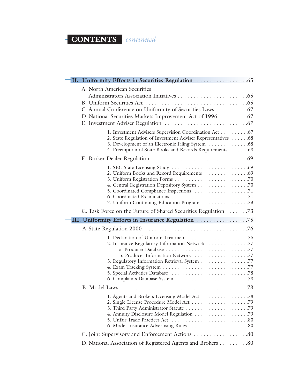## **CONTENTS** *continued*

| A. North American Securities<br>C. Annual Conference on Uniformity of Securities Laws 67<br>D. National Securities Markets Improvement Act of 1996 67                              |  |
|------------------------------------------------------------------------------------------------------------------------------------------------------------------------------------|--|
| 1. Investment Advisers Supervision Coordination Act67<br>2. State Regulation of Investment Adviser Representatives  68<br>4. Preemption of State Books and Records Requirements 68 |  |
|                                                                                                                                                                                    |  |
|                                                                                                                                                                                    |  |
|                                                                                                                                                                                    |  |
| G. Task Force on the Future of Shared Securities Regulation 73                                                                                                                     |  |
|                                                                                                                                                                                    |  |
|                                                                                                                                                                                    |  |
| 2. Insurance Regulatory Information Network 77<br>b. Producer Information Network 77<br>3. Regulatory Information Retrieval System 77                                              |  |
|                                                                                                                                                                                    |  |
|                                                                                                                                                                                    |  |
| C. Joint Supervisory and Enforcement Actions 80                                                                                                                                    |  |